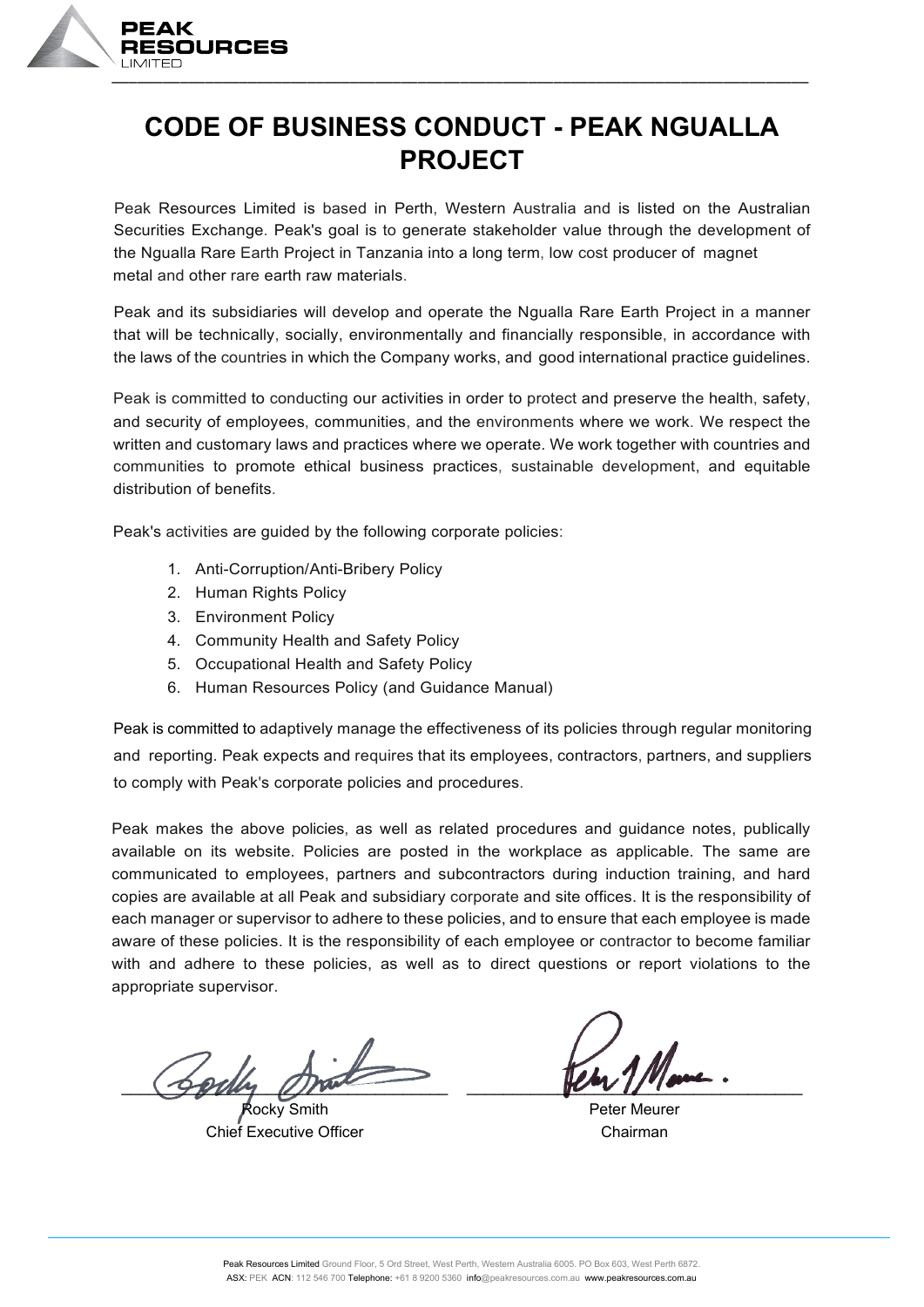

#### **CODE OF BUSINESS CONDUCT - PEAK NGUALLA PROJECT**

Peak Resources Limited is based in Perth, Western Australia and is listed on the Australian Securities Exchange. Peak's goal is to generate stakeholder value through the development of the Ngualla Rare Earth Project in Tanzania into a long term, low cost producer of magnet metal and other rare earth raw materials.

Peak and its subsidiaries will develop and operate the Ngualla Rare Earth Project in a manner that will be technically, socially, environmentally and financially responsible, in accordance with the laws of the countries in which the Company works, and good international practice guidelines.

Peak is committed to conducting our activities in order to protect and preserve the health, safety, and security of employees, communities, and the environments where we work. We respect the written and customary laws and practices where we operate. We work together with countries and communities to promote ethical business practices, sustainable development, and equitable distribution of benefits.

Peak's activities are guided by the following corporate policies:

- 1. Anti-Corruption/Anti-Bribery Policy
- 2. Human Rights Policy
- 3. Environment Policy
- 4. Community Health and Safety Policy
- 5. Occupational Health and Safety Policy
- 6. Human Resources Policy (and Guidance Manual)

Peak is committed to adaptively manage the effectiveness of its policies through regular monitoring and reporting. Peak expects and requires that its employees, contractors, partners, and suppliers to comply with Peak's corporate policies and procedures.

Peak makes the above policies, as well as related procedures and guidance notes, publically available on its website. Policies are posted in the workplace as applicable. The same are communicated to employees, partners and subcontractors during induction training, and hard copies are available at all Peak and subsidiary corporate and site offices. It is the responsibility of each manager or supervisor to adhere to these policies, and to ensure that each employee is made aware of these policies. It is the responsibility of each employee or contractor to become familiar with and adhere to these policies, as well as to direct questions or report violations to the appropriate supervisor.

\_\_\_\_\_\_\_\_\_\_\_\_\_\_\_\_\_\_\_\_\_\_\_\_\_\_\_\_\_\_\_\_\_\_\_\_ \_\_\_\_\_\_\_\_\_\_\_\_\_\_\_\_\_\_\_\_\_\_\_\_\_\_\_\_\_\_\_\_\_\_\_\_\_

Rocky Smith Chief Executive Officer

Peter Meurer Chairman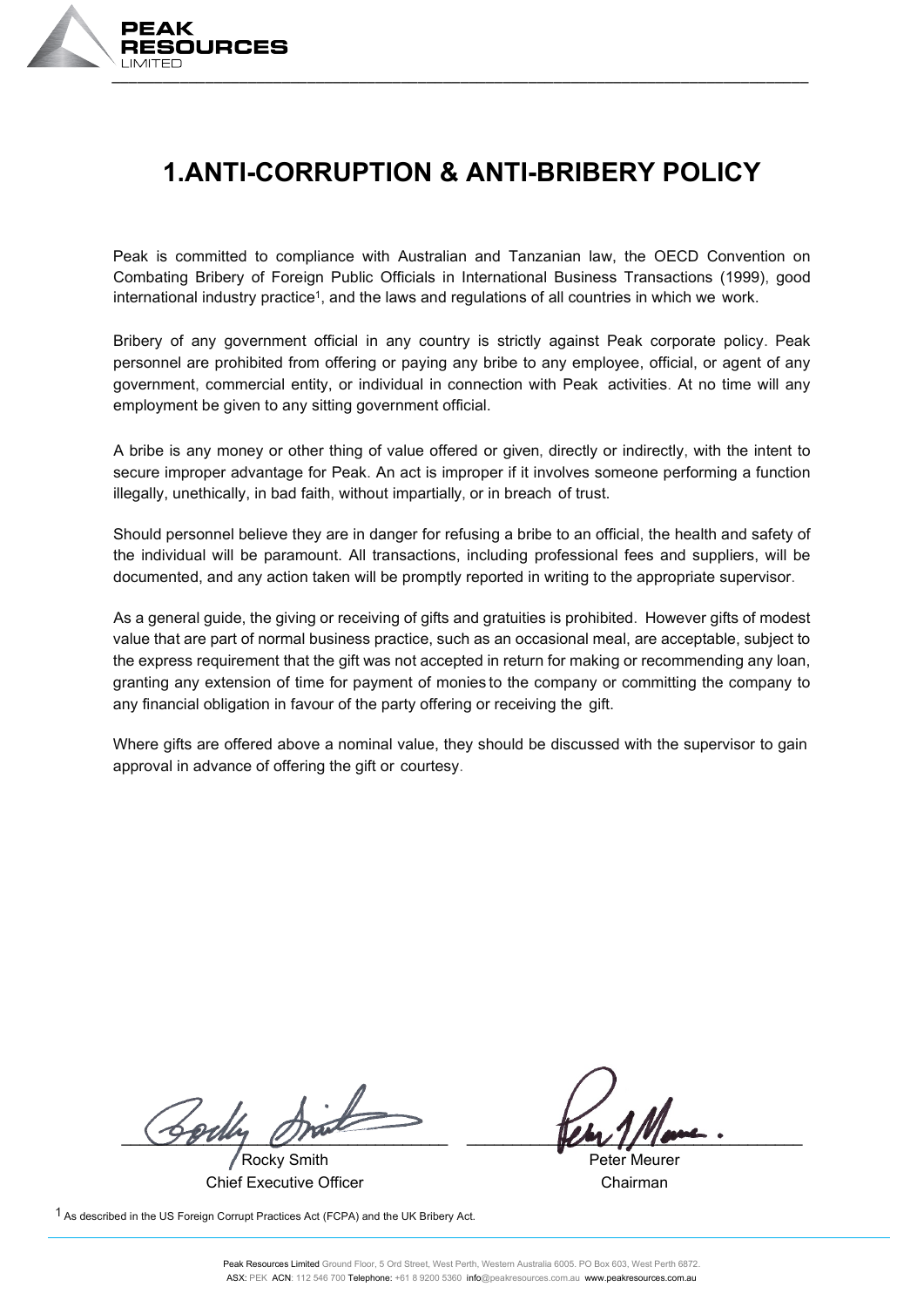

#### **1.ANTI-CORRUPTION & ANTI-BRIBERY POLICY**

Peak is committed to compliance with Australian and Tanzanian law, the OECD Convention on Combating Bribery of Foreign Public Officials in International Business Transactions (1999), good international industry practice<sup>1</sup>, and the laws and regulations of all countries in which we work.

Bribery of any government official in any country is strictly against Peak corporate policy. Peak personnel are prohibited from offering or paying any bribe to any employee, official, or agent of any government, commercial entity, or individual in connection with Peak activities. At no time will any employment be given to any sitting government official.

A bribe is any money or other thing of value offered or given, directly or indirectly, with the intent to secure improper advantage for Peak. An act is improper if it involves someone performing a function illegally, unethically, in bad faith, without impartially, or in breach of trust.

Should personnel believe they are in danger for refusing a bribe to an official, the health and safety of the individual will be paramount. All transactions, including professional fees and suppliers, will be documented, and any action taken will be promptly reported in writing to the appropriate supervisor.

As a general guide, the giving or receiving of gifts and gratuities is prohibited. However gifts of modest value that are part of normal business practice, such as an occasional meal, are acceptable, subject to the express requirement that the gift was not accepted in return for making or recommending any loan, granting any extension of time for payment of monies to the company or committing the company to any financial obligation in favour of the party offering or receiving the gift.

Where gifts are offered above a nominal value, they should be discussed with the supervisor to gain approval in advance of offering the gift or courtesy.

\_\_\_\_\_\_\_\_\_\_\_\_\_\_\_\_\_\_\_\_\_\_\_\_\_\_\_\_\_\_\_\_\_\_\_\_ \_\_\_\_\_\_\_\_\_\_\_\_\_\_\_\_\_\_\_\_\_\_\_\_\_\_\_\_\_\_\_\_\_\_\_\_\_

Rocky Smith Chief Executive Officer

1 As described in the US Foreign Corrupt Practices Act (FCPA) and the UK Bribery Act.

Peter Meurer Chairman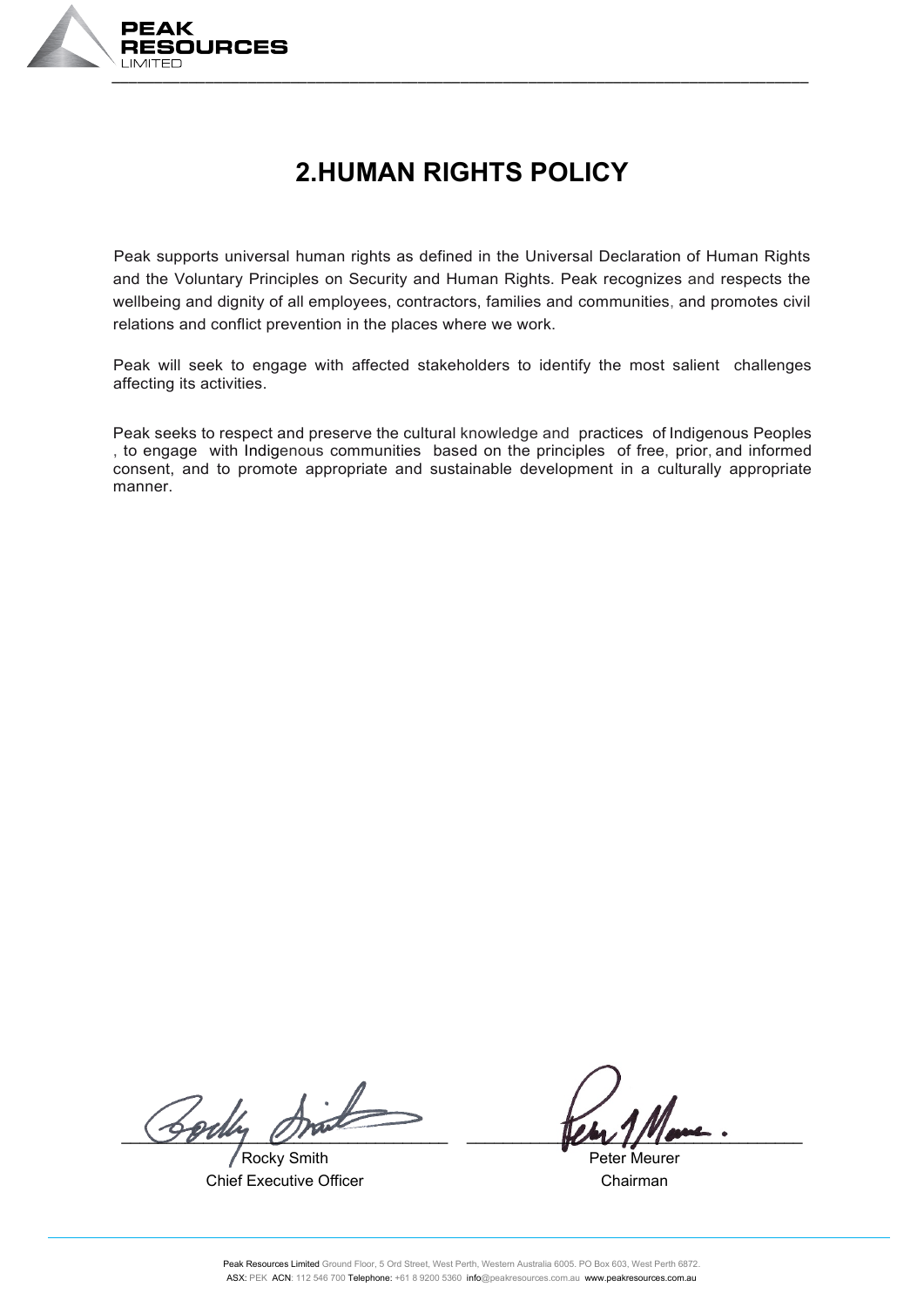

# **2.HUMAN RIGHTS POLICY**

Peak supports universal human rights as defined in the Universal Declaration of Human Rights and the Voluntary Principles on Security and Human Rights. Peak recognizes and respects the wellbeing and dignity of all employees, contractors, families and communities, and promotes civil relations and conflict prevention in the places where we work.

Peak will seek to engage with affected stakeholders to identify the most salient challenges affecting its activities.

Peak seeks to respect and preserve the cultural knowledge and practices of Indigenous Peoples , to engage with Indigenous communities based on the principles of free, prior, and informed consent, and to promote appropriate and sustainable development in a culturally appropriate manner.

Sorth

Rocky Smith Chief Executive Officer

Peter Meurer Chairman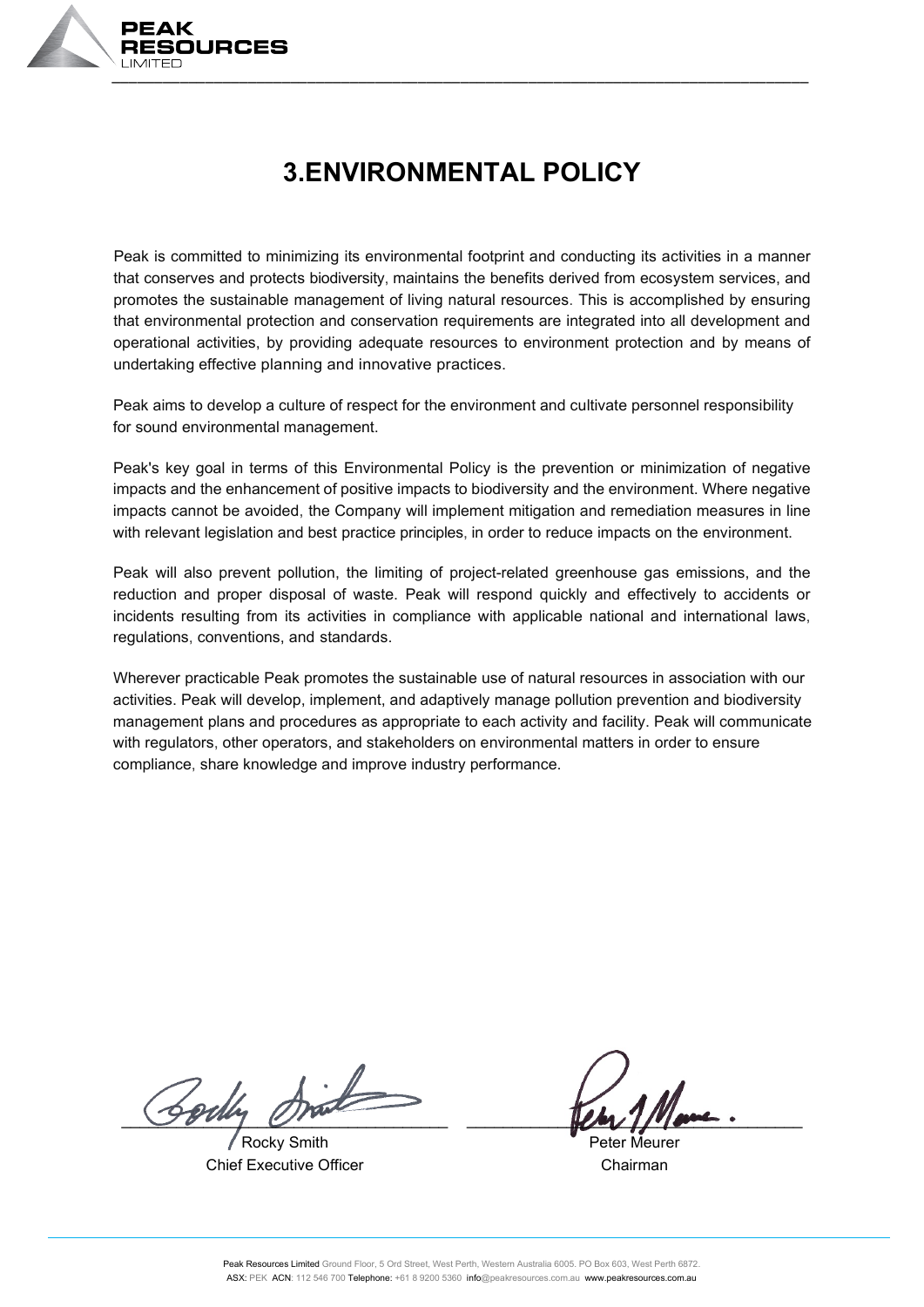

# **3.ENVIRONMENTAL POLICY**

Peak is committed to minimizing its environmental footprint and conducting its activities in a manner that conserves and protects biodiversity, maintains the benefits derived from ecosystem services, and promotes the sustainable management of living natural resources. This is accomplished by ensuring that environmental protection and conservation requirements are integrated into all development and operational activities, by providing adequate resources to environment protection and by means of undertaking effective planning and innovative practices.

Peak aims to develop a culture of respect for the environment and cultivate personnel responsibility for sound environmental management.

Peak's key goal in terms of this Environmental Policy is the prevention or minimization of negative impacts and the enhancement of positive impacts to biodiversity and the environment. Where negative impacts cannot be avoided, the Company will implement mitigation and remediation measures in line with relevant legislation and best practice principles, in order to reduce impacts on the environment.

Peak will also prevent pollution, the limiting of project-related greenhouse gas emissions, and the reduction and proper disposal of waste. Peak will respond quickly and effectively to accidents or incidents resulting from its activities in compliance with applicable national and international laws, regulations, conventions, and standards.

Wherever practicable Peak promotes the sustainable use of natural resources in association with our activities. Peak will develop, implement, and adaptively manage pollution prevention and biodiversity management plans and procedures as appropriate to each activity and facility. Peak will communicate with regulators, other operators, and stakeholders on environmental matters in order to ensure compliance, share knowledge and improve industry performance.

Bodly Drink

Rocky Smith Chief Executive Officer

Peter Meurer Chairman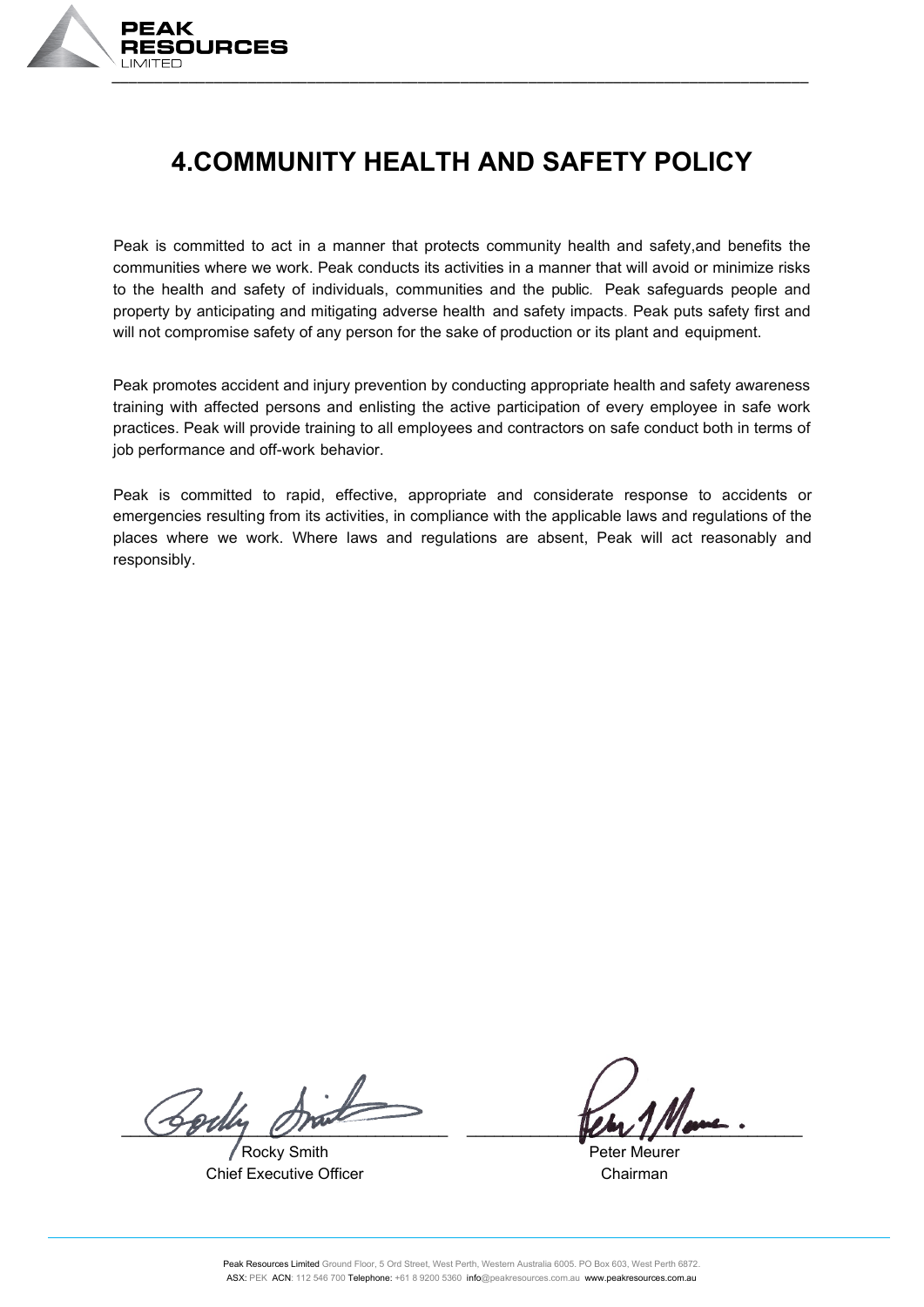

# **4.COMMUNITY HEALTH AND SAFETY POLICY**

Peak is committed to act in a manner that protects community health and safety,and benefits the communities where we work. Peak conducts its activities in a manner that will avoid or minimize risks to the health and safety of individuals, communities and the public. Peak safeguards people and property by anticipating and mitigating adverse health and safety impacts. Peak puts safety first and will not compromise safety of any person for the sake of production or its plant and equipment.

Peak promotes accident and injury prevention by conducting appropriate health and safety awareness training with affected persons and enlisting the active participation of every employee in safe work practices. Peak will provide training to all employees and contractors on safe conduct both in terms of job performance and off-work behavior.

Peak is committed to rapid, effective, appropriate and considerate response to accidents or emergencies resulting from its activities, in compliance with the applicable laws and regulations of the places where we work. Where laws and regulations are absent, Peak will act reasonably and responsibly.

 $\frac{1}{2}$   $\frac{1}{2}$   $\frac{1}{2}$   $\frac{1}{2}$   $\frac{1}{2}$   $\frac{1}{2}$   $\frac{1}{2}$   $\frac{1}{2}$   $\frac{1}{2}$   $\frac{1}{2}$   $\frac{1}{2}$   $\frac{1}{2}$   $\frac{1}{2}$   $\frac{1}{2}$   $\frac{1}{2}$   $\frac{1}{2}$   $\frac{1}{2}$   $\frac{1}{2}$   $\frac{1}{2}$   $\frac{1}{2}$   $\frac{1}{2}$   $\frac{1}{2}$ 

Rocky Smith Chief Executive Officer

Peter Meurer Chairman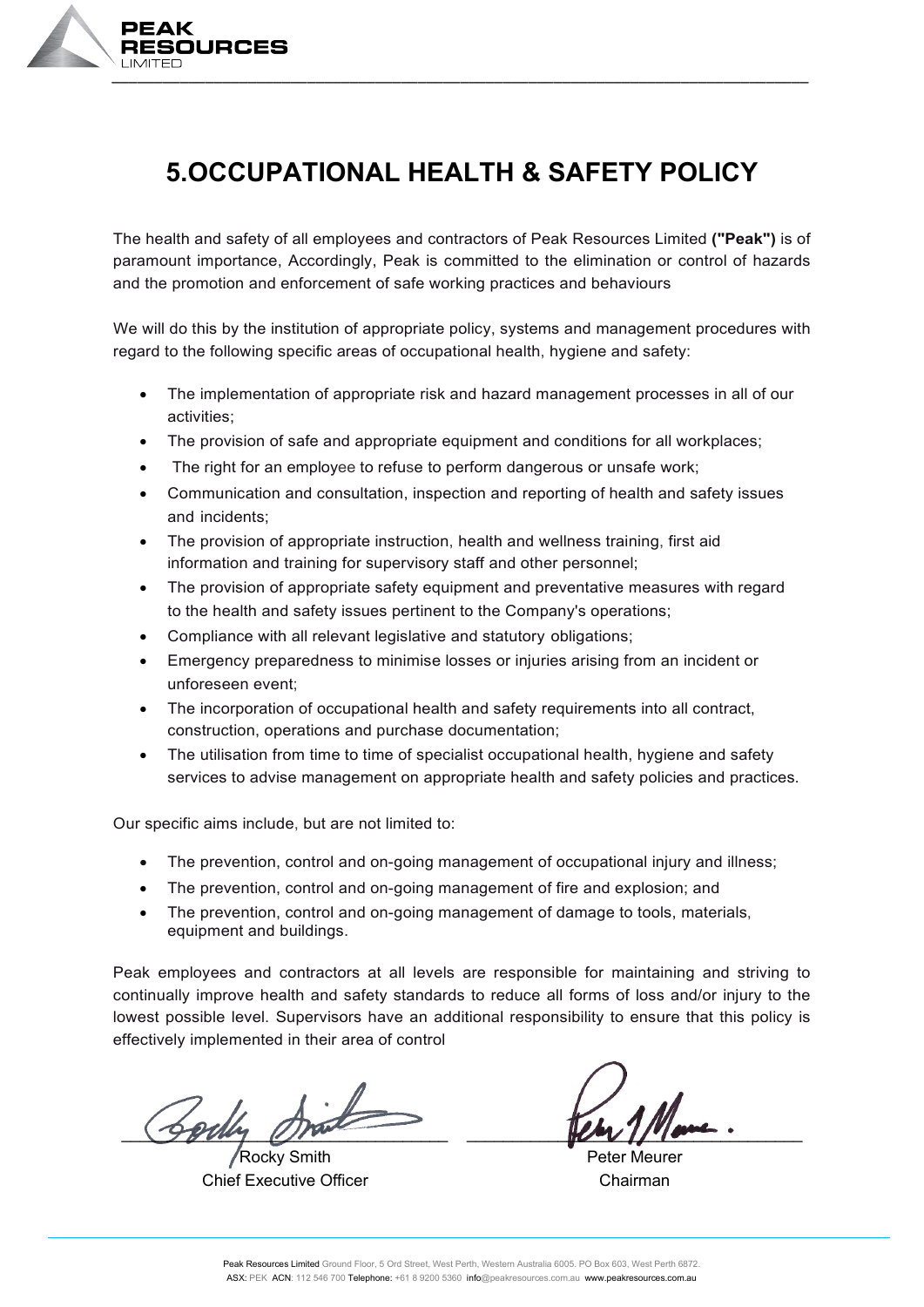

# **5.OCCUPATIONAL HEALTH & SAFETY POLICY**

The health and safety of all employees and contractors of Peak Resources Limited **("Peak")** is of paramount importance, Accordingly, Peak is committed to the elimination or control of hazards and the promotion and enforcement of safe working practices and behaviours

We will do this by the institution of appropriate policy, systems and management procedures with regard to the following specific areas of occupational health, hygiene and safety:

- The implementation of appropriate risk and hazard management processes in all of our activities;
- The provision of safe and appropriate equipment and conditions for all workplaces;
- The right for an employee to refuse to perform dangerous or unsafe work;
- Communication and consultation, inspection and reporting of health and safety issues and incidents;
- The provision of appropriate instruction, health and wellness training, first aid information and training for supervisory staff and other personnel;
- The provision of appropriate safety equipment and preventative measures with regard to the health and safety issues pertinent to the Company's operations;
- Compliance with all relevant legislative and statutory obligations:
- Emergency preparedness to minimise losses or injuries arising from an incident or unforeseen event;
- The incorporation of occupational health and safety requirements into all contract, construction, operations and purchase documentation;
- The utilisation from time to time of specialist occupational health, hygiene and safety services to advise management on appropriate health and safety policies and practices.

Our specific aims include, but are not limited to:

- The prevention, control and on-going management of occupational injury and illness;
- The prevention, control and on-going management of fire and explosion; and
- The prevention, control and on-going management of damage to tools, materials, equipment and buildings.

Peak employees and contractors at all levels are responsible for maintaining and striving to continually improve health and safety standards to reduce all forms of loss and/or injury to the lowest possible level. Supervisors have an additional responsibility to ensure that this policy is effectively implemented in their area of control

 $\frac{1}{2}$ 

Rocky Smith Chief Executive Officer

Peter Meurer Chairman